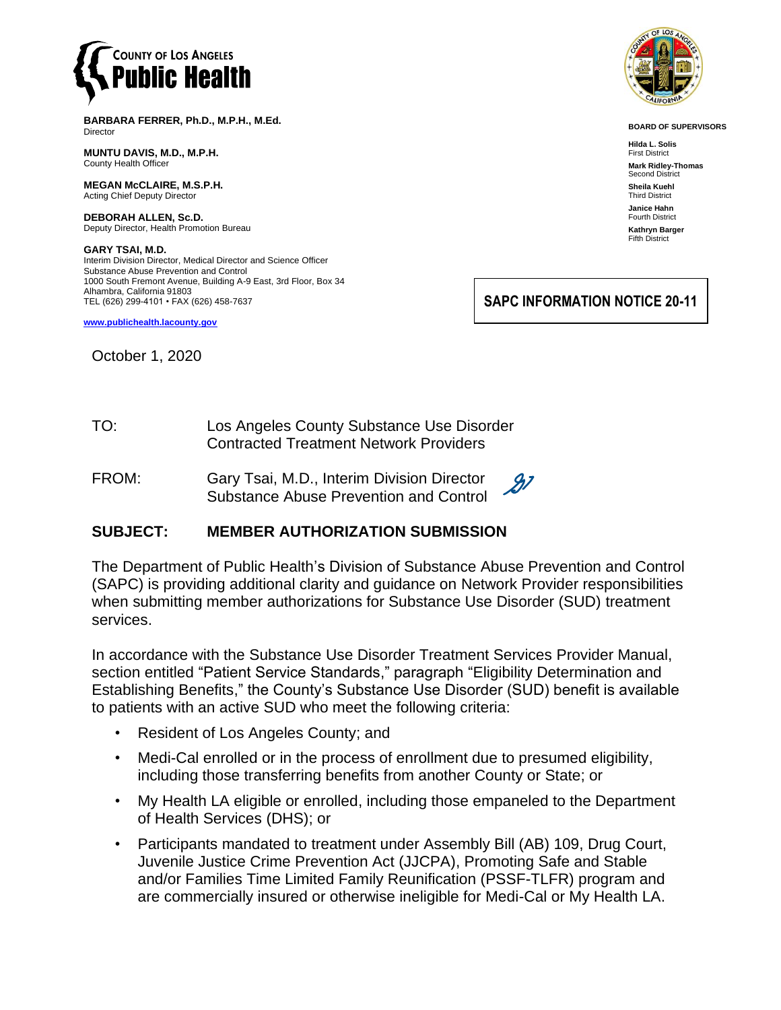

**BARBARA FERRER, Ph.D., M.P.H., M.Ed.** Director

**MUNTU DAVIS, M.D., M.P.H.** County Health Officer

**MEGAN McCLAIRE, M.S.P.H.** Acting Chief Deputy Director

**DEBORAH ALLEN, Sc.D.** Deputy Director, Health Promotion Bureau

**GARY TSAI, M.D.** Interim Division Director, Medical Director and Science Officer Substance Abuse Prevention and Control 1000 South Fremont Avenue, Building A-9 East, 3rd Floor, Box 34 Alhambra, California 91803 TEL (626) 299-4101 • FAX (626) 458-7637

**[www.publichealth.lacounty.gov](http://www.publichealth.lacounty.gov/)**

October 1, 2020



**BOARD OF SUPERVISORS**

**Hilda L. Solis** First District **Mark Ridley-Thomas** Second District **Sheila Kuehl** Third District **Janice Hahn** Fourth District **Kathryn Barger** Fifth District

**SAPC INFORMATION NOTICE 20-11**

- TO: Los Angeles County Substance Use Disorder Contracted Treatment Network Providers
- $\mathscr{B}^{\mathsf{Z}}$ FROM: Gary Tsai, M.D., Interim Division Director Substance Abuse Prevention and Control

## **SUBJECT: MEMBER AUTHORIZATION SUBMISSION**

The Department of Public Health's Division of Substance Abuse Prevention and Control (SAPC) is providing additional clarity and guidance on Network Provider responsibilities when submitting member authorizations for Substance Use Disorder (SUD) treatment services.

In accordance with the Substance Use Disorder Treatment Services Provider Manual, section entitled "Patient Service Standards," paragraph "Eligibility Determination and Establishing Benefits," the County's Substance Use Disorder (SUD) benefit is available to patients with an active SUD who meet the following criteria:

- Resident of Los Angeles County; and
- Medi-Cal enrolled or in the process of enrollment due to presumed eligibility, including those transferring benefits from another County or State; or
- My Health LA eligible or enrolled, including those empaneled to the Department of Health Services (DHS); or
- Participants mandated to treatment under Assembly Bill (AB) 109, Drug Court, Juvenile Justice Crime Prevention Act (JJCPA), Promoting Safe and Stable and/or Families Time Limited Family Reunification (PSSF-TLFR) program and are commercially insured or otherwise ineligible for Medi-Cal or My Health LA.